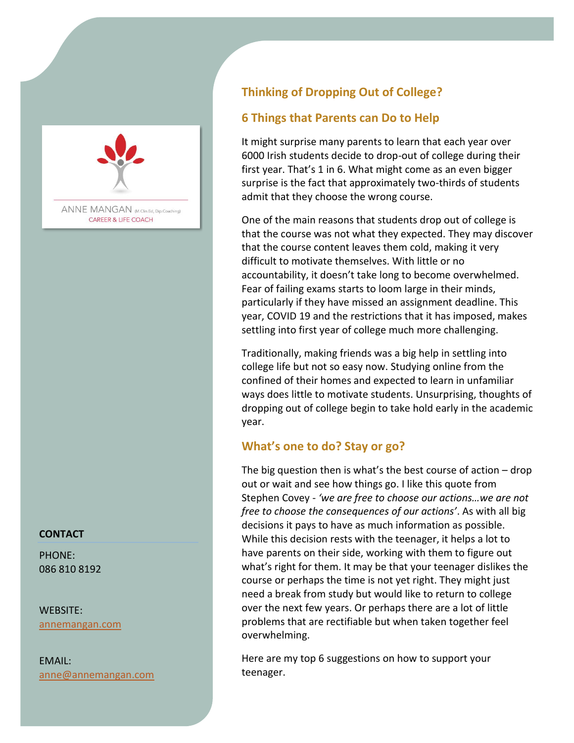

ANNE MANGAN (M.Clin.Ed, Dip.Coaching) **CAREER & LIFE COACH** 

#### **CONTACT**

PHONE: 086 810 8192

WEBSITE: [annemangan.com](https://www.annemangan.com/)

EMAIL: anne@annemangan.com

# **Thinking of Dropping Out of College?**

## **6 Things that Parents can Do to Help**

It might surprise many parents to learn that each year over 6000 Irish students decide to drop-out of college during their first year. That's 1 in 6. What might come as an even bigger surprise is the fact that approximately two-thirds of students admit that they choose the wrong course.

One of the main reasons that students drop out of college is that the course was not what they expected. They may discover that the course content leaves them cold, making it very difficult to motivate themselves. With little or no accountability, it doesn't take long to become overwhelmed. Fear of failing exams starts to loom large in their minds, particularly if they have missed an assignment deadline. This year, COVID 19 and the restrictions that it has imposed, makes settling into first year of college much more challenging.

Traditionally, making friends was a big help in settling into college life but not so easy now. Studying online from the confined of their homes and expected to learn in unfamiliar ways does little to motivate students. Unsurprising, thoughts of dropping out of college begin to take hold early in the academic year.

### **What's one to do? Stay or go?**

The big question then is what's the best course of action  $-$  drop out or wait and see how things go. I like this quote from Stephen Covey - *'we are free to choose our actions…we are not free to choose the consequences of our actions'*. As with all big decisions it pays to have as much information as possible. While this decision rests with the teenager, it helps a lot to have parents on their side, working with them to figure out what's right for them. It may be that your teenager dislikes the course or perhaps the time is not yet right. They might just need a break from study but would like to return to college over the next few years. Or perhaps there are a lot of little problems that are rectifiable but when taken together feel overwhelming.

Here are my top 6 suggestions on how to support your teenager.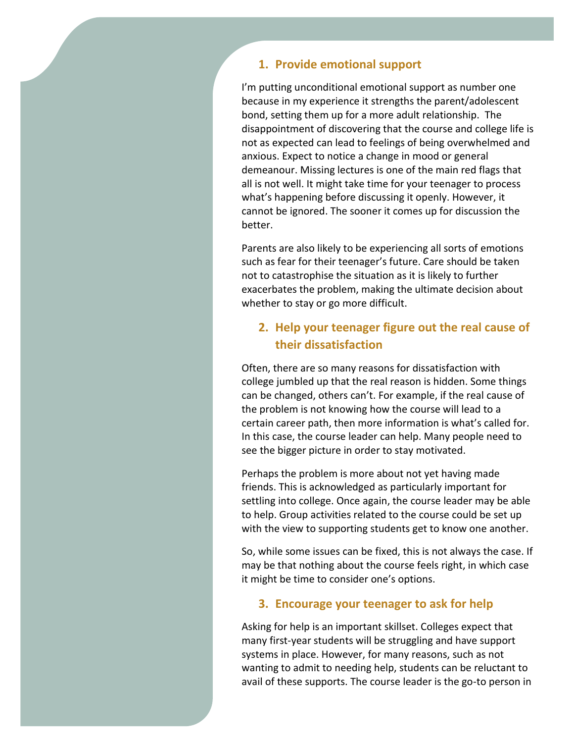#### **1. Provide emotional support**

I'm putting unconditional emotional support as number one because in my experience it strengths the parent/adolescent bond, setting them up for a more adult relationship. The disappointment of discovering that the course and college life is not as expected can lead to feelings of being overwhelmed and anxious. Expect to notice a change in mood or general demeanour. Missing lectures is one of the main red flags that all is not well. It might take time for your teenager to process what's happening before discussing it openly. However, it cannot be ignored. The sooner it comes up for discussion the better.

Parents are also likely to be experiencing all sorts of emotions such as fear for their teenager's future. Care should be taken not to catastrophise the situation as it is likely to further exacerbates the problem, making the ultimate decision about whether to stay or go more difficult.

## **2. Help your teenager figure out the real cause of their dissatisfaction**

Often, there are so many reasons for dissatisfaction with college jumbled up that the real reason is hidden. Some things can be changed, others can't. For example, if the real cause of the problem is not knowing how the course will lead to a certain career path, then more information is what's called for. In this case, the course leader can help. Many people need to see the bigger picture in order to stay motivated.

Perhaps the problem is more about not yet having made friends. This is acknowledged as particularly important for settling into college. Once again, the course leader may be able to help. Group activities related to the course could be set up with the view to supporting students get to know one another.

So, while some issues can be fixed, this is not always the case. If may be that nothing about the course feels right, in which case it might be time to consider one's options.

#### **3. Encourage your teenager to ask for help**

Asking for help is an important skillset. Colleges expect that many first-year students will be struggling and have support systems in place. However, for many reasons, such as not wanting to admit to needing help, students can be reluctant to avail of these supports. The course leader is the go-to person in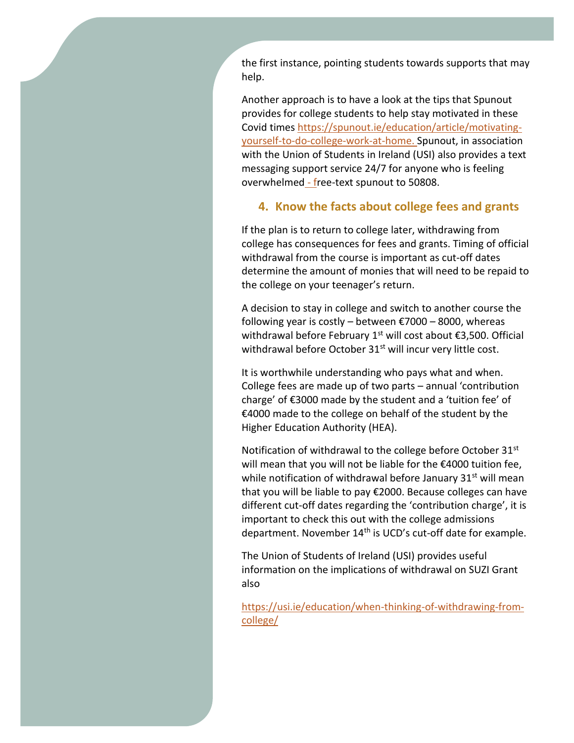the first instance, pointing students towards supports that may help.

Another approach is to have a look at the tips that Spunout provides for college students to help stay motivated in these Covid times [https://spunout.ie/education/article/motivating](https://spunout.ie/education/article/motivating-yourself-to-do-college-work-at-home)[yourself-to-do-college-work-at-home.](https://spunout.ie/education/article/motivating-yourself-to-do-college-work-at-home) Spunout, in association with the Union of Students in Ireland (USI) also provides a text messaging support service 24/7 for anyone who is feeling overwhelmed - free-text spunout to 50808.

#### **4. Know the facts about college fees and grants**

If the plan is to return to college later, withdrawing from college has consequences for fees and grants. Timing of official withdrawal from the course is important as cut-off dates determine the amount of monies that will need to be repaid to the college on your teenager's return.

A decision to stay in college and switch to another course the following year is costly – between  $\epsilon$ 7000 – 8000, whereas withdrawal before February 1<sup>st</sup> will cost about  $\epsilon$ 3,500. Official withdrawal before October  $31<sup>st</sup>$  will incur very little cost.

It is worthwhile understanding who pays what and when. College fees are made up of two parts – annual 'contribution charge' of €3000 made by the student and a 'tuition fee' of €4000 made to the college on behalf of the student by the Higher Education Authority (HEA).

Notification of withdrawal to the college before October 31<sup>st</sup> will mean that you will not be liable for the €4000 tuition fee, while notification of withdrawal before January  $31<sup>st</sup>$  will mean that you will be liable to pay €2000. Because colleges can have different cut-off dates regarding the 'contribution charge', it is important to check this out with the college admissions department. November 14<sup>th</sup> is UCD's cut-off date for example.

The Union of Students of Ireland (USI) provides useful information on the implications of withdrawal on SUZI Grant also

[https://usi.ie/education/when-thinking-of-withdrawing-from](https://usi.ie/education/when-thinking-of-withdrawing-from-college/)[college/](https://usi.ie/education/when-thinking-of-withdrawing-from-college/)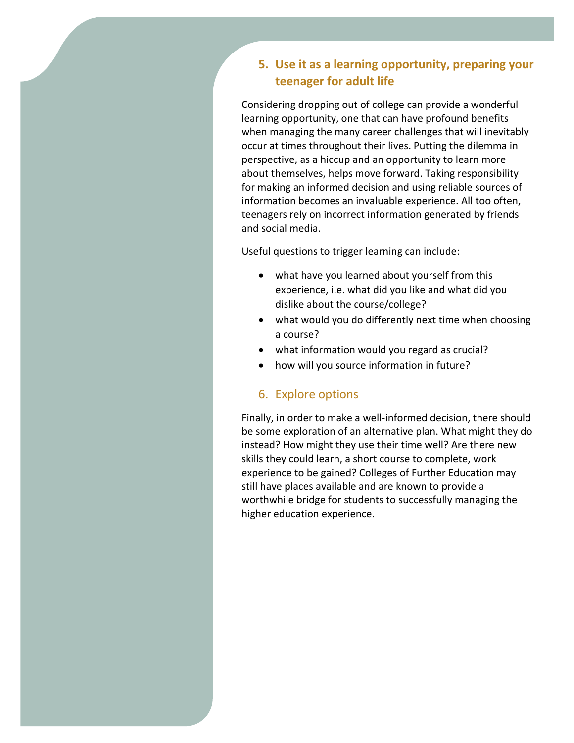## **5. Use it as a learning opportunity, preparing your teenager for adult life**

Considering dropping out of college can provide a wonderful learning opportunity, one that can have profound benefits when managing the many career challenges that will inevitably occur at times throughout their lives. Putting the dilemma in perspective, as a hiccup and an opportunity to learn more about themselves, helps move forward. Taking responsibility for making an informed decision and using reliable sources of information becomes an invaluable experience. All too often, teenagers rely on incorrect information generated by friends and social media.

Useful questions to trigger learning can include:

- what have you learned about yourself from this experience, i.e. what did you like and what did you dislike about the course/college?
- what would you do differently next time when choosing a course?
- what information would you regard as crucial?
- how will you source information in future?

### 6. Explore options

Finally, in order to make a well-informed decision, there should be some exploration of an alternative plan. What might they do instead? How might they use their time well? Are there new skills they could learn, a short course to complete, work experience to be gained? Colleges of Further Education may still have places available and are known to provide a worthwhile bridge for students to successfully managing the higher education experience.